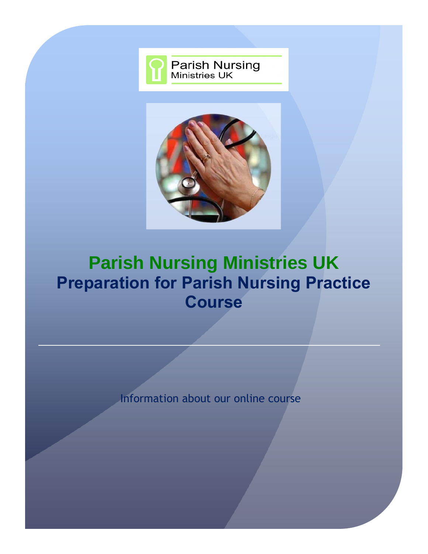



# **Parish Nursing Ministries UK Preparation for Parish Nursing Practice Course**

Information about our online course